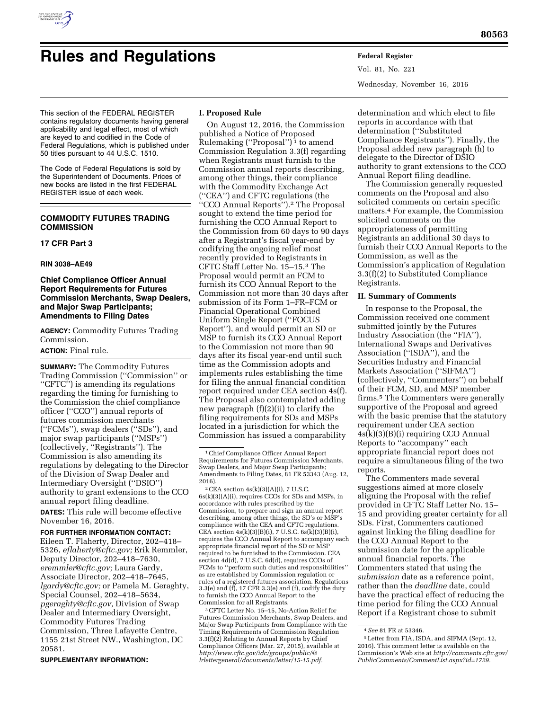

# **Rules and Regulations Federal Register**

Vol. 81, No. 221 Wednesday, November 16, 2016

This section of the FEDERAL REGISTER contains regulatory documents having general applicability and legal effect, most of which are keyed to and codified in the Code of Federal Regulations, which is published under 50 titles pursuant to 44 U.S.C. 1510.

The Code of Federal Regulations is sold by the Superintendent of Documents. Prices of new books are listed in the first FEDERAL REGISTER issue of each week.

# **COMMODITY FUTURES TRADING COMMISSION**

# **17 CFR Part 3**

#### **RIN 3038–AE49**

## **Chief Compliance Officer Annual Report Requirements for Futures Commission Merchants, Swap Dealers, and Major Swap Participants; Amendments to Filing Dates**

**AGENCY:** Commodity Futures Trading Commission.

# **ACTION:** Final rule.

**SUMMARY:** The Commodity Futures Trading Commission (''Commission'' or ''CFTC'') is amending its regulations regarding the timing for furnishing to the Commission the chief compliance officer (''CCO'') annual reports of futures commission merchants (''FCMs''), swap dealers (''SDs''), and major swap participants (''MSPs'') (collectively, ''Registrants''). The Commission is also amending its regulations by delegating to the Director of the Division of Swap Dealer and Intermediary Oversight (''DSIO'') authority to grant extensions to the CCO annual report filing deadline.

**DATES:** This rule will become effective November 16, 2016.

**FOR FURTHER INFORMATION CONTACT:**  Eileen T. Flaherty, Director, 202–418– 5326, *[eflaherty@cftc.gov;](mailto:eflaherty@cftc.gov)* Erik Remmler, Deputy Director, 202–418–7630, *[eremmler@cftc.gov;](mailto:eremmler@cftc.gov)* Laura Gardy, Associate Director, 202–418–7645, *[lgardy@cftc.gov;](mailto:lgardy@cftc.gov)* or Pamela M. Geraghty, Special Counsel, 202–418–5634, *[pgeraghty@cftc.gov,](mailto:pgeraghty@cftc.gov)* Division of Swap Dealer and Intermediary Oversight, Commodity Futures Trading Commission, Three Lafayette Centre, 1155 21st Street NW., Washington, DC 20581.

**SUPPLEMENTARY INFORMATION:** 

## **I. Proposed Rule**

On August 12, 2016, the Commission published a Notice of Proposed Rulemaking ("Proposal")<sup>1</sup> to amend Commission Regulation 3.3(f) regarding when Registrants must furnish to the Commission annual reports describing, among other things, their compliance with the Commodity Exchange Act (''CEA'') and CFTC regulations (the ''CCO Annual Reports'').2 The Proposal sought to extend the time period for furnishing the CCO Annual Report to the Commission from 60 days to 90 days after a Registrant's fiscal year-end by codifying the ongoing relief most recently provided to Registrants in CFTC Staff Letter No. 15–15.3 The Proposal would permit an FCM to furnish its CCO Annual Report to the Commission not more than 30 days after submission of its Form 1–FR–FCM or Financial Operational Combined Uniform Single Report (''FOCUS Report''), and would permit an SD or MSP to furnish its CCO Annual Report to the Commission not more than 90 days after its fiscal year-end until such time as the Commission adopts and implements rules establishing the time for filing the annual financial condition report required under CEA section 4s(f). The Proposal also contemplated adding new paragraph (f)(2)(ii) to clarify the filing requirements for SDs and MSPs located in a jurisdiction for which the Commission has issued a comparability

 $2$  CEA section  $4s(k)(3)(A)(i)$ , 7 U.S.C. 6s(k)(3)(A)(i), requires CCOs for SDs and MSPs, in accordance with rules prescribed by the Commission, to prepare and sign an annual report describing, among other things, the SD's or MSP's compliance with the CEA and CFTC regulations. CEA section  $4s(k)(3)(B)(i)$ , 7 U.S.C.  $6s(k)(3)(B)(i)$ , requires the CCO Annual Report to accompany each appropriate financial report of the SD or MSP required to be furnished to the Commission. CEA section 4d(d), 7 U.S.C. 6d(d), requires CCOs of FCMs to ''perform such duties and responsibilities'' as are established by Commission regulation or rules of a registered futures association. Regulations 3.3(e) and (f), 17 CFR 3.3(e) and (f), codify the duty to furnish the CCO Annual Report to the Commission for all Registrants.

3CFTC Letter No. 15–15, No-Action Relief for Futures Commission Merchants, Swap Dealers, and Major Swap Participants from Compliance with the Timing Requirements of Commission Regulation 3.3(f)(2) Relating to Annual Reports by Chief Compliance Officers (Mar. 27, 2015), available at *[http://www.cftc.gov/idc/groups/public/@](http://www.cftc.gov/idc/groups/public/@lrlettergeneral/documents/letter/15-15.pdf) lrlettergeneral/documents/letter/15-15.pdf.* 

determination and which elect to file reports in accordance with that determination (''Substituted Compliance Registrants''). Finally, the Proposal added new paragraph (h) to delegate to the Director of DSIO authority to grant extensions to the CCO Annual Report filing deadline.

The Commission generally requested comments on the Proposal and also solicited comments on certain specific matters.4 For example, the Commission solicited comments on the appropriateness of permitting Registrants an additional 30 days to furnish their CCO Annual Reports to the Commission, as well as the Commission's application of Regulation 3.3(f)(2) to Substituted Compliance Registrants.

## **II. Summary of Comments**

In response to the Proposal, the Commission received one comment submitted jointly by the Futures Industry Association (the ''FIA''), International Swaps and Derivatives Association (''ISDA''), and the Securities Industry and Financial Markets Association (''SIFMA'') (collectively, ''Commenters'') on behalf of their FCM, SD, and MSP member firms.5 The Commenters were generally supportive of the Proposal and agreed with the basic premise that the statutory requirement under CEA section 4s(k)(3)(B)(i) requiring CCO Annual Reports to ''accompany'' each appropriate financial report does not require a simultaneous filing of the two reports.

The Commenters made several suggestions aimed at more closely aligning the Proposal with the relief provided in CFTC Staff Letter No. 15– 15 and providing greater certainty for all SDs. First, Commenters cautioned against linking the filing deadline for the CCO Annual Report to the submission date for the applicable annual financial reports. The Commenters stated that using the *submission* date as a reference point, rather than the *deadline* date, could have the practical effect of reducing the time period for filing the CCO Annual Report if a Registrant chose to submit

<sup>1</sup>Chief Compliance Officer Annual Report Requirements for Futures Commission Merchants, Swap Dealers, and Major Swap Participants; Amendments to Filing Dates, 81 FR 53343 (Aug. 12, 2016).

<sup>4</sup>*See* 81 FR at 53346.

<sup>5</sup>Letter from FIA, ISDA, and SIFMA (Sept. 12, 2016). This comment letter is available on the Commission's Web site at *[http://comments.cftc.gov/](http://comments.cftc.gov/PublicComments/CommentList.aspx?id=1729) [PublicComments/CommentList.aspx?id=1729.](http://comments.cftc.gov/PublicComments/CommentList.aspx?id=1729)*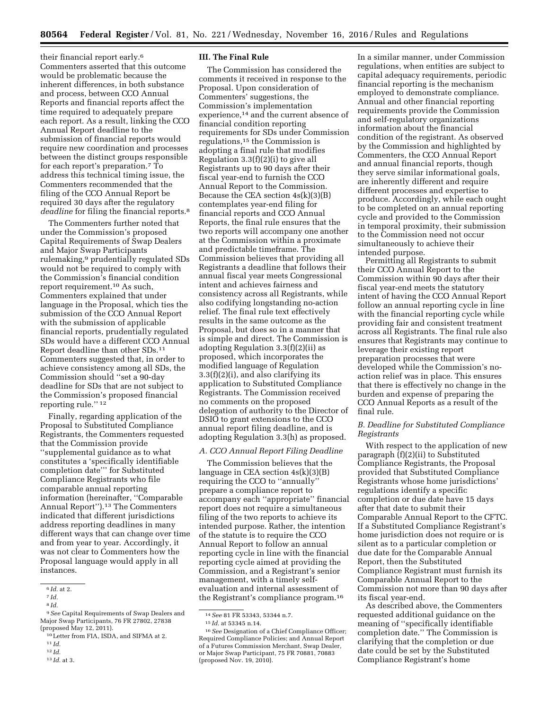their financial report early.6 Commenters asserted that this outcome would be problematic because the inherent differences, in both substance and process, between CCO Annual Reports and financial reports affect the time required to adequately prepare each report. As a result, linking the CCO Annual Report deadline to the submission of financial reports would require new coordination and processes between the distinct groups responsible for each report's preparation.7 To address this technical timing issue, the Commenters recommended that the filing of the CCO Annual Report be required 30 days after the regulatory *deadline* for filing the financial reports.8

The Commenters further noted that under the Commission's proposed Capital Requirements of Swap Dealers and Major Swap Participants rulemaking,9 prudentially regulated SDs would not be required to comply with the Commission's financial condition report requirement.10 As such, Commenters explained that under language in the Proposal, which ties the submission of the CCO Annual Report with the submission of applicable financial reports, prudentially regulated SDs would have a different CCO Annual Report deadline than other SDs.11 Commenters suggested that, in order to achieve consistency among all SDs, the Commission should ''set a 90-day deadline for SDs that are not subject to the Commission's proposed financial reporting rule.'' 12

Finally, regarding application of the Proposal to Substituted Compliance Registrants, the Commenters requested that the Commission provide ''supplemental guidance as to what constitutes a 'specifically identifiable completion date''' for Substituted Compliance Registrants who file comparable annual reporting information (hereinafter, ''Comparable Annual Report'').13 The Commenters indicated that different jurisdictions address reporting deadlines in many different ways that can change over time and from year to year. Accordingly, it was not clear to Commenters how the Proposal language would apply in all instances.

12 *Id.* 

#### **III. The Final Rule**

The Commission has considered the comments it received in response to the Proposal. Upon consideration of Commenters' suggestions, the Commission's implementation experience,14 and the current absence of financial condition reporting requirements for SDs under Commission regulations,15 the Commission is adopting a final rule that modifies Regulation 3.3(f)(2)(i) to give all Registrants up to 90 days after their fiscal year-end to furnish the CCO Annual Report to the Commission. Because the CEA section  $4s(k)(3)(B)$ contemplates year-end filing for financial reports and CCO Annual Reports, the final rule ensures that the two reports will accompany one another at the Commission within a proximate and predictable timeframe. The Commission believes that providing all Registrants a deadline that follows their annual fiscal year meets Congressional intent and achieves fairness and consistency across all Registrants, while also codifying longstanding no-action relief. The final rule text effectively results in the same outcome as the Proposal, but does so in a manner that is simple and direct. The Commission is adopting Regulation 3.3(f)(2)(ii) as proposed, which incorporates the modified language of Regulation 3.3(f)(2)(i), and also clarifying its application to Substituted Compliance Registrants. The Commission received no comments on the proposed delegation of authority to the Director of DSIO to grant extensions to the CCO annual report filing deadline, and is adopting Regulation 3.3(h) as proposed.

# *A. CCO Annual Report Filing Deadline*

The Commission believes that the language in CEA section  $4s(k)(3)(B)$ requiring the CCO to ''annually'' prepare a compliance report to accompany each ''appropriate'' financial report does not require a simultaneous filing of the two reports to achieve its intended purpose. Rather, the intention of the statute is to require the CCO Annual Report to follow an annual reporting cycle in line with the financial reporting cycle aimed at providing the Commission, and a Registrant's senior management, with a timely selfevaluation and internal assessment of the Registrant's compliance program.16

In a similar manner, under Commission regulations, when entities are subject to capital adequacy requirements, periodic financial reporting is the mechanism employed to demonstrate compliance. Annual and other financial reporting requirements provide the Commission and self-regulatory organizations information about the financial condition of the registrant. As observed by the Commission and highlighted by Commenters, the CCO Annual Report and annual financial reports, though they serve similar informational goals, are inherently different and require different processes and expertise to produce. Accordingly, while each ought to be completed on an annual reporting cycle and provided to the Commission in temporal proximity, their submission to the Commission need not occur simultaneously to achieve their intended purpose.

Permitting all Registrants to submit their CCO Annual Report to the Commission within 90 days after their fiscal year-end meets the statutory intent of having the CCO Annual Report follow an annual reporting cycle in line with the financial reporting cycle while providing fair and consistent treatment across all Registrants. The final rule also ensures that Registrants may continue to leverage their existing report preparation processes that were developed while the Commission's noaction relief was in place. This ensures that there is effectively no change in the burden and expense of preparing the CCO Annual Reports as a result of the final rule.

## *B. Deadline for Substituted Compliance Registrants*

With respect to the application of new paragraph (f)(2)(ii) to Substituted Compliance Registrants, the Proposal provided that Substituted Compliance Registrants whose home jurisdictions' regulations identify a specific completion or due date have 15 days after that date to submit their Comparable Annual Report to the CFTC. If a Substituted Compliance Registrant's home jurisdiction does not require or is silent as to a particular completion or due date for the Comparable Annual Report, then the Substituted Compliance Registrant must furnish its Comparable Annual Report to the Commission not more than 90 days after its fiscal year-end.

As described above, the Commenters requested additional guidance on the meaning of ''specifically identifiable completion date.'' The Commission is clarifying that the completion or due date could be set by the Substituted Compliance Registrant's home

<sup>6</sup> *Id.* at 2.

<sup>7</sup> *Id.* 

<sup>8</sup> *Id.* 

<sup>9</sup>*See* Capital Requirements of Swap Dealers and Major Swap Participants, 76 FR 27802, 27838 (proposed May 12, 2011).

<sup>10</sup>Letter from FIA, ISDA, and SIFMA at 2.

<sup>11</sup> *Id.* 

<sup>13</sup> *Id.* at 3.

<sup>14</sup>*See* 81 FR 53343, 53344 n.7.

<sup>15</sup> *Id.* at 53345 n.14.

<sup>16</sup>*See* Designation of a Chief Compliance Officer; Required Compliance Policies; and Annual Report of a Futures Commission Merchant, Swap Dealer, or Major Swap Participant, 75 FR 70881, 70883 (proposed Nov. 19, 2010).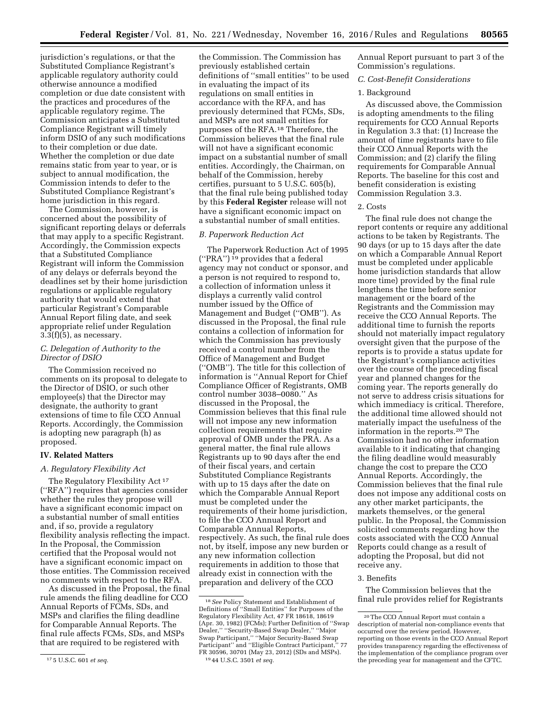jurisdiction's regulations, or that the Substituted Compliance Registrant's applicable regulatory authority could otherwise announce a modified completion or due date consistent with the practices and procedures of the applicable regulatory regime. The Commission anticipates a Substituted Compliance Registrant will timely inform DSIO of any such modifications to their completion or due date. Whether the completion or due date remains static from year to year, or is subject to annual modification, the Commission intends to defer to the Substituted Compliance Registrant's home jurisdiction in this regard.

The Commission, however, is concerned about the possibility of significant reporting delays or deferrals that may apply to a specific Registrant. Accordingly, the Commission expects that a Substituted Compliance Registrant will inform the Commission of any delays or deferrals beyond the deadlines set by their home jurisdiction regulations or applicable regulatory authority that would extend that particular Registrant's Comparable Annual Report filing date, and seek appropriate relief under Regulation  $3.3(f)(5)$ , as necessary.

## *C. Delegation of Authority to the Director of DSIO*

The Commission received no comments on its proposal to delegate to the Director of DSIO, or such other employee(s) that the Director may designate, the authority to grant extensions of time to file CCO Annual Reports. Accordingly, the Commission is adopting new paragraph (h) as proposed.

#### **IV. Related Matters**

#### *A. Regulatory Flexibility Act*

The Regulatory Flexibility Act<sup>17</sup> (''RFA'') requires that agencies consider whether the rules they propose will have a significant economic impact on a substantial number of small entities and, if so, provide a regulatory flexibility analysis reflecting the impact. In the Proposal, the Commission certified that the Proposal would not have a significant economic impact on those entities. The Commission received no comments with respect to the RFA.

As discussed in the Proposal, the final rule amends the filing deadline for CCO Annual Reports of FCMs, SDs, and MSPs and clarifies the filing deadline for Comparable Annual Reports. The final rule affects FCMs, SDs, and MSPs that are required to be registered with

the Commission. The Commission has previously established certain definitions of ''small entities'' to be used in evaluating the impact of its regulations on small entities in accordance with the RFA, and has previously determined that FCMs, SDs, and MSPs are not small entities for purposes of the RFA.18 Therefore, the Commission believes that the final rule will not have a significant economic impact on a substantial number of small entities. Accordingly, the Chairman, on behalf of the Commission, hereby certifies, pursuant to 5 U.S.C. 605(b), that the final rule being published today by this **Federal Register** release will not have a significant economic impact on a substantial number of small entities.

#### *B. Paperwork Reduction Act*

The Paperwork Reduction Act of 1995 (''PRA'') 19 provides that a federal agency may not conduct or sponsor, and a person is not required to respond to, a collection of information unless it displays a currently valid control number issued by the Office of Management and Budget (''OMB''). As discussed in the Proposal, the final rule contains a collection of information for which the Commission has previously received a control number from the Office of Management and Budget (''OMB''). The title for this collection of information is ''Annual Report for Chief Compliance Officer of Registrants, OMB control number 3038–0080.'' As discussed in the Proposal, the Commission believes that this final rule will not impose any new information collection requirements that require approval of OMB under the PRA. As a general matter, the final rule allows Registrants up to 90 days after the end of their fiscal years, and certain Substituted Compliance Registrants with up to 15 days after the date on which the Comparable Annual Report must be completed under the requirements of their home jurisdiction, to file the CCO Annual Report and Comparable Annual Reports, respectively. As such, the final rule does not, by itself, impose any new burden or any new information collection requirements in addition to those that already exist in connection with the preparation and delivery of the CCO

Annual Report pursuant to part 3 of the Commission's regulations.

#### *C. Cost-Benefit Considerations*

#### 1. Background

As discussed above, the Commission is adopting amendments to the filing requirements for CCO Annual Reports in Regulation 3.3 that: (1) Increase the amount of time registrants have to file their CCO Annual Reports with the Commission; and (2) clarify the filing requirements for Comparable Annual Reports. The baseline for this cost and benefit consideration is existing Commission Regulation 3.3.

## 2. Costs

The final rule does not change the report contents or require any additional actions to be taken by Registrants. The 90 days (or up to 15 days after the date on which a Comparable Annual Report must be completed under applicable home jurisdiction standards that allow more time) provided by the final rule lengthens the time before senior management or the board of the Registrants and the Commission may receive the CCO Annual Reports. The additional time to furnish the reports should not materially impact regulatory oversight given that the purpose of the reports is to provide a status update for the Registrant's compliance activities over the course of the preceding fiscal year and planned changes for the coming year. The reports generally do not serve to address crisis situations for which immediacy is critical. Therefore, the additional time allowed should not materially impact the usefulness of the information in the reports.20 The Commission had no other information available to it indicating that changing the filing deadline would measurably change the cost to prepare the CCO Annual Reports. Accordingly, the Commission believes that the final rule does not impose any additional costs on any other market participants, the markets themselves, or the general public. In the Proposal, the Commission solicited comments regarding how the costs associated with the CCO Annual Reports could change as a result of adopting the Proposal, but did not receive any.

#### 3. Benefits

The Commission believes that the final rule provides relief for Registrants

<sup>17</sup> 5 U.S.C. 601 *et seq.* 

<sup>18</sup>*See* Policy Statement and Establishment of Definitions of ''Small Entities'' for Purposes of the Regulatory Flexibility Act, 47 FR 18618, 18619 (Apr. 30, 1982) (FCMs); Further Definition of ''Swap Dealer,'' ''Security-Based Swap Dealer,'' ''Major Swap Participant,'' ''Major Security-Based Swap Participant'' and ''Eligible Contract Participant,'' 77 FR 30596, 30701 (May 23, 2012) (SDs and MSPs). 19 44 U.S.C. 3501 *et seq.* 

<sup>20</sup>The CCO Annual Report must contain a description of material non-compliance events that occurred over the review period. However, reporting on those events in the CCO Annual Report provides transparency regarding the effectiveness of the implementation of the compliance program over the preceding year for management and the CFTC.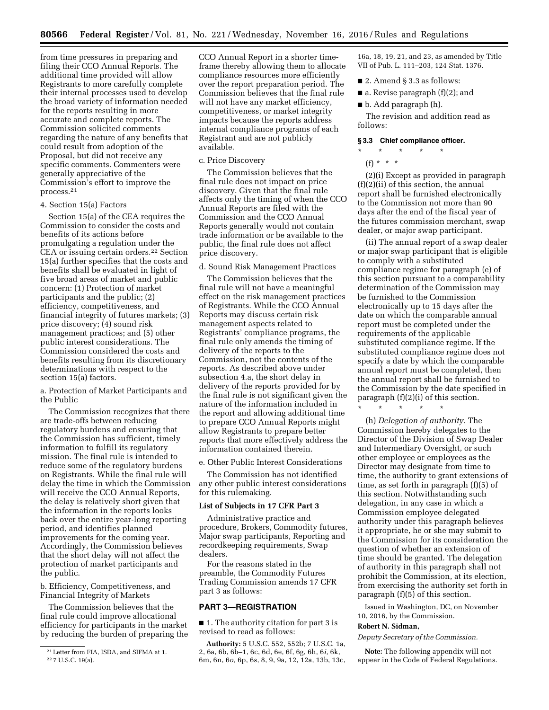from time pressures in preparing and filing their CCO Annual Reports. The additional time provided will allow Registrants to more carefully complete their internal processes used to develop the broad variety of information needed for the reports resulting in more accurate and complete reports. The Commission solicited comments regarding the nature of any benefits that could result from adoption of the Proposal, but did not receive any specific comments. Commenters were generally appreciative of the Commission's effort to improve the process.21

## 4. Section 15(a) Factors

Section 15(a) of the CEA requires the Commission to consider the costs and benefits of its actions before promulgating a regulation under the CEA or issuing certain orders.<sup>22</sup> Section 15(a) further specifies that the costs and benefits shall be evaluated in light of five broad areas of market and public concern: (1) Protection of market participants and the public; (2) efficiency, competitiveness, and financial integrity of futures markets; (3) price discovery; (4) sound risk management practices; and (5) other public interest considerations. The Commission considered the costs and benefits resulting from its discretionary determinations with respect to the section 15(a) factors.

a. Protection of Market Participants and the Public

The Commission recognizes that there are trade-offs between reducing regulatory burdens and ensuring that the Commission has sufficient, timely information to fulfill its regulatory mission. The final rule is intended to reduce some of the regulatory burdens on Registrants. While the final rule will delay the time in which the Commission will receive the CCO Annual Reports, the delay is relatively short given that the information in the reports looks back over the entire year-long reporting period, and identifies planned improvements for the coming year. Accordingly, the Commission believes that the short delay will not affect the protection of market participants and the public.

b. Efficiency, Competitiveness, and Financial Integrity of Markets

The Commission believes that the final rule could improve allocational efficiency for participants in the market by reducing the burden of preparing the

CCO Annual Report in a shorter timeframe thereby allowing them to allocate compliance resources more efficiently over the report preparation period. The Commission believes that the final rule will not have any market efficiency, competitiveness, or market integrity impacts because the reports address internal compliance programs of each Registrant and are not publicly available.

### c. Price Discovery

The Commission believes that the final rule does not impact on price discovery. Given that the final rule affects only the timing of when the CCO Annual Reports are filed with the Commission and the CCO Annual Reports generally would not contain trade information or be available to the public, the final rule does not affect price discovery.

#### d. Sound Risk Management Practices

The Commission believes that the final rule will not have a meaningful effect on the risk management practices of Registrants. While the CCO Annual Reports may discuss certain risk management aspects related to Registrants' compliance programs, the final rule only amends the timing of delivery of the reports to the Commission, not the contents of the reports. As described above under subsection 4.a, the short delay in delivery of the reports provided for by the final rule is not significant given the nature of the information included in the report and allowing additional time to prepare CCO Annual Reports might allow Registrants to prepare better reports that more effectively address the information contained therein.

e. Other Public Interest Considerations

The Commission has not identified any other public interest considerations for this rulemaking.

#### **List of Subjects in 17 CFR Part 3**

Administrative practice and procedure, Brokers, Commodity futures, Major swap participants, Reporting and recordkeeping requirements, Swap dealers.

For the reasons stated in the preamble, the Commodity Futures Trading Commission amends 17 CFR part 3 as follows:

## **PART 3—REGISTRATION**

■ 1. The authority citation for part 3 is revised to read as follows:

**Authority:** 5 U.S.C. 552, 552b; 7 U.S.C. 1a, 2, 6a, 6b, 6b–1, 6c, 6d, 6e, 6f, 6g, 6h, 6*i,* 6k, 6m, 6n, 6*o,* 6p, 6s, 8, 9, 9a, 12, 12a, 13b, 13c,

16a, 18, 19, 21, and 23, as amended by Title VII of Pub. L. 111–203, 124 Stat. 1376.

- 2. Amend § 3.3 as follows:
- a. Revise paragraph (f)(2); and
- b. Add paragraph (h).

The revision and addition read as follows:

#### **§ 3.3 Chief compliance officer.**

\* \* \* \* \*  $(f) * * * *$ 

(2)(i) Except as provided in paragraph (f)(2)(ii) of this section, the annual report shall be furnished electronically to the Commission not more than 90 days after the end of the fiscal year of the futures commission merchant, swap dealer, or major swap participant.

(ii) The annual report of a swap dealer or major swap participant that is eligible to comply with a substituted compliance regime for paragraph (e) of this section pursuant to a comparability determination of the Commission may be furnished to the Commission electronically up to 15 days after the date on which the comparable annual report must be completed under the requirements of the applicable substituted compliance regime. If the substituted compliance regime does not specify a date by which the comparable annual report must be completed, then the annual report shall be furnished to the Commission by the date specified in paragraph (f)(2)(i) of this section.

\* \* \* \* \*

(h) *Delegation of authority.* The Commission hereby delegates to the Director of the Division of Swap Dealer and Intermediary Oversight, or such other employee or employees as the Director may designate from time to time, the authority to grant extensions of time, as set forth in paragraph (f)(5) of this section. Notwithstanding such delegation, in any case in which a Commission employee delegated authority under this paragraph believes it appropriate, he or she may submit to the Commission for its consideration the question of whether an extension of time should be granted. The delegation of authority in this paragraph shall not prohibit the Commission, at its election, from exercising the authority set forth in paragraph (f)(5) of this section.

Issued in Washington, DC, on November 10, 2016, by the Commission.

#### **Robert N. Sidman,**

*Deputy Secretary of the Commission.* 

**Note:** The following appendix will not appear in the Code of Federal Regulations.

<sup>21</sup>Letter from FIA, ISDA, and SIFMA at 1. 22 7 U.S.C. 19(a).